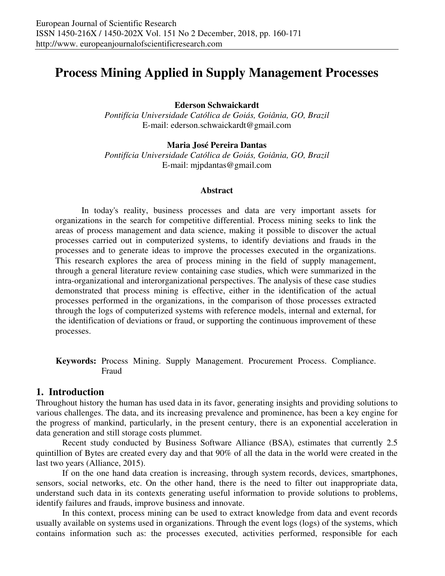# **Process Mining Applied in Supply Management Processes**

**Ederson Schwaickardt** 

*Pontifícia Universidade Católica de Goiás, Goiânia, GO, Brazil*  E-mail: ederson.schwaickardt@gmail.com

## **Maria José Pereira Dantas**

*Pontifícia Universidade Católica de Goiás, Goiânia, GO, Brazil*  E-mail: mjpdantas@gmail.com

### **Abstract**

In today's reality, business processes and data are very important assets for organizations in the search for competitive differential. Process mining seeks to link the areas of process management and data science, making it possible to discover the actual processes carried out in computerized systems, to identify deviations and frauds in the processes and to generate ideas to improve the processes executed in the organizations. This research explores the area of process mining in the field of supply management, through a general literature review containing case studies, which were summarized in the intra-organizational and interorganizational perspectives. The analysis of these case studies demonstrated that process mining is effective, either in the identification of the actual processes performed in the organizations, in the comparison of those processes extracted through the logs of computerized systems with reference models, internal and external, for the identification of deviations or fraud, or supporting the continuous improvement of these processes.

**Keywords:** Process Mining. Supply Management. Procurement Process. Compliance. Fraud

## **1. Introduction**

Throughout history the human has used data in its favor, generating insights and providing solutions to various challenges. The data, and its increasing prevalence and prominence, has been a key engine for the progress of mankind, particularly, in the present century, there is an exponential acceleration in data generation and still storage costs plummet.

Recent study conducted by Business Software Alliance (BSA), estimates that currently 2.5 quintillion of Bytes are created every day and that 90% of all the data in the world were created in the last two years (Alliance, 2015).

If on the one hand data creation is increasing, through system records, devices, smartphones, sensors, social networks, etc. On the other hand, there is the need to filter out inappropriate data, understand such data in its contexts generating useful information to provide solutions to problems, identify failures and frauds, improve business and innovate.

In this context, process mining can be used to extract knowledge from data and event records usually available on systems used in organizations. Through the event logs (logs) of the systems, which contains information such as: the processes executed, activities performed, responsible for each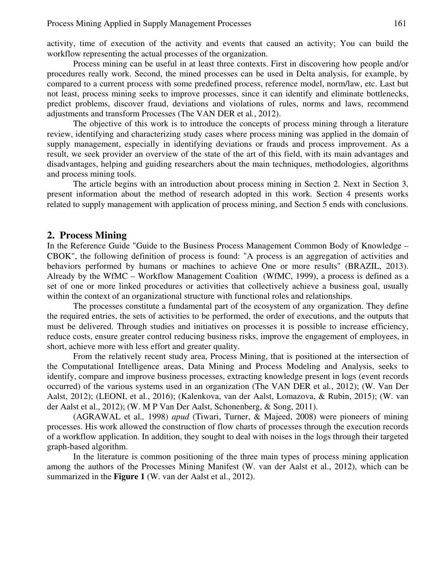activity, time of execution of the activity and events that caused an activity; You can build the workflow representing the actual processes of the organization.

Process mining can be useful in at least three contexts. First in discovering how people and/or procedures really work. Second, the mined processes can be used in Delta analysis, for example, by compared to a current process with some predefined process, reference model, norm/law, etc. Last but not least, process mining seeks to improve processes, since it can identify and eliminate bottlenecks, predict problems, discover fraud, deviations and violations of rules, norms and laws, recommend adjustments and transform Processes (The VAN DER et al*.*, 2012).

The objective of this work is to introduce the concepts of process mining through a literature review, identifying and characterizing study cases where process mining was applied in the domain of supply management, especially in identifying deviations or frauds and process improvement. As a result, we seek provider an overview of the state of the art of this field, with its main advantages and disadvantages, helping and guiding researchers about the main techniques, methodologies, algorithms and process mining tools.

The article begins with an introduction about process mining in Section 2. Next in Section 3, present information about the method of research adopted in this work. Section 4 presents works related to supply management with application of process mining, and Section 5 ends with conclusions.

## **2. Process Mining**

In the Reference Guide "Guide to the Business Process Management Common Body of Knowledge – CBOK", the following definition of process is found: "A process is an aggregation of activities and behaviors performed by humans or machines to achieve One or more results" (BRAZIL, 2013). Already by the WfMC – Workflow Management Coalition (WfMC, 1999), a process is defined as a set of one or more linked procedures or activities that collectively achieve a business goal, usually within the context of an organizational structure with functional roles and relationships.

The processes constitute a fundamental part of the ecosystem of any organization. They define the required entries, the sets of activities to be performed, the order of executions, and the outputs that must be delivered. Through studies and initiatives on processes it is possible to increase efficiency, reduce costs, ensure greater control reducing business risks, improve the engagement of employees, in short, achieve more with less effort and greater quality.

From the relatively recent study area, Process Mining, that is positioned at the intersection of the Computational Intelligence areas, Data Mining and Process Modeling and Analysis, seeks to identify, compare and improve business processes, extracting knowledge present in logs (event records occurred) of the various systems used in an organization (The VAN DER et al*.*, 2012); (W. Van Der Aalst, 2012); (LEONI, et al*.*, 2016); (Kalenkova, van der Aalst, Lomazova, & Rubin, 2015); (W. van der Aalst et al., 2012); (W. M P Van Der Aalst, Schonenberg, & Song, 2011).

(AGRAWAL et al*.,* 1998) *apud* (Tiwari, Turner, & Majeed, 2008) were pioneers of mining processes. His work allowed the construction of flow charts of processes through the execution records of a workflow application. In addition, they sought to deal with noises in the logs through their targeted graph-based algorithm.

In the literature is common positioning of the three main types of process mining application among the authors of the Processes Mining Manifest (W. van der Aalst et al., 2012), which can be summarized in the **Figure 1** (W. van der Aalst et al., 2012).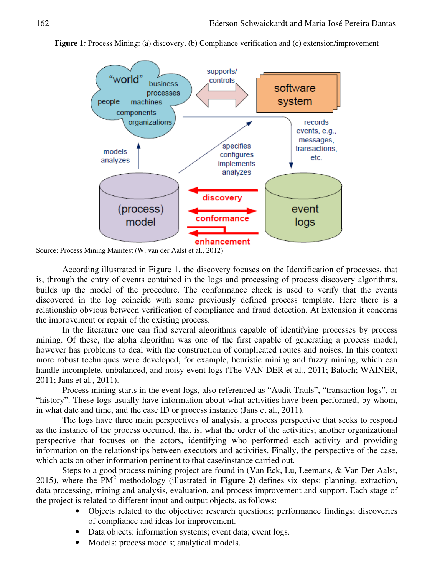**Figure 1***:* Process Mining: (a) discovery, (b) Compliance verification and (c) extension/improvement



Source: Process Mining Manifest (W. van der Aalst et al., 2012)

According illustrated in Figure 1, the discovery focuses on the Identification of processes, that is, through the entry of events contained in the logs and processing of process discovery algorithms, builds up the model of the procedure. The conformance check is used to verify that the events discovered in the log coincide with some previously defined process template. Here there is a relationship obvious between verification of compliance and fraud detection. At Extension it concerns the improvement or repair of the existing process.

In the literature one can find several algorithms capable of identifying processes by process mining. Of these, the alpha algorithm was one of the first capable of generating a process model, however has problems to deal with the construction of complicated routes and noises. In this context more robust techniques were developed, for example, heuristic mining and fuzzy mining, which can handle incomplete, unbalanced, and noisy event logs (The VAN DER et al*.*, 2011; Baloch; WAINER, 2011; Jans et al*.*, 2011).

Process mining starts in the event logs, also referenced as "Audit Trails", "transaction logs", or "history". These logs usually have information about what activities have been performed, by whom, in what date and time, and the case ID or process instance (Jans et al., 2011).

The logs have three main perspectives of analysis, a process perspective that seeks to respond as the instance of the process occurred, that is, what the order of the activities; another organizational perspective that focuses on the actors, identifying who performed each activity and providing information on the relationships between executors and activities. Finally, the perspective of the case, which acts on other information pertinent to that case/instance carried out.

Steps to a good process mining project are found in (Van Eck, Lu, Leemans, & Van Der Aalst, 2015), where the  $PM^2$  methodology (illustrated in **Figure 2**) defines six steps: planning, extraction, data processing, mining and analysis, evaluation, and process improvement and support. Each stage of the project is related to different input and output objects, as follows:

- Objects related to the objective: research questions; performance findings; discoveries of compliance and ideas for improvement.
- Data objects: information systems; event data; event logs.
- Models: process models; analytical models.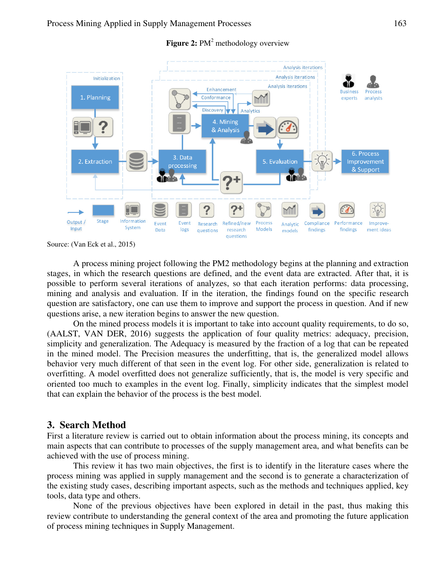

## **Figure 2:** PM<sup>2</sup> methodology overview

Source: (Van Eck et al., 2015)

A process mining project following the PM2 methodology begins at the planning and extraction stages, in which the research questions are defined, and the event data are extracted. After that, it is possible to perform several iterations of analyzes, so that each iteration performs: data processing, mining and analysis and evaluation. If in the iteration, the findings found on the specific research question are satisfactory, one can use them to improve and support the process in question. And if new questions arise, a new iteration begins to answer the new question.

On the mined process models it is important to take into account quality requirements, to do so, (AALST, VAN DER, 2016) suggests the application of four quality metrics: adequacy, precision, simplicity and generalization. The Adequacy is measured by the fraction of a log that can be repeated in the mined model. The Precision measures the underfitting, that is, the generalized model allows behavior very much different of that seen in the event log. For other side, generalization is related to overfitting. A model overfitted does not generalize sufficiently, that is, the model is very specific and oriented too much to examples in the event log. Finally, simplicity indicates that the simplest model that can explain the behavior of the process is the best model.

# **3. Search Method**

First a literature review is carried out to obtain information about the process mining, its concepts and main aspects that can contribute to processes of the supply management area, and what benefits can be achieved with the use of process mining.

This review it has two main objectives, the first is to identify in the literature cases where the process mining was applied in supply management and the second is to generate a characterization of the existing study cases, describing important aspects, such as the methods and techniques applied, key tools, data type and others.

None of the previous objectives have been explored in detail in the past, thus making this review contribute to understanding the general context of the area and promoting the future application of process mining techniques in Supply Management.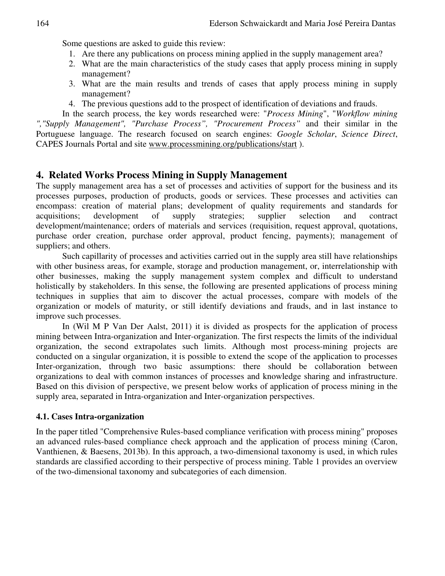Some questions are asked to guide this review:

- 1. Are there any publications on process mining applied in the supply management area?
- 2. What are the main characteristics of the study cases that apply process mining in supply management?
- 3. What are the main results and trends of cases that apply process mining in supply management?
- 4. The previous questions add to the prospect of identification of deviations and frauds.

In the search process, the key words researched were: "*Process Mining*", "*Workflow mining ","Supply Management", "Purchase Process", "Procurement Process"* and their similar in the Portuguese language. The research focused on search engines: *Google Scholar*, *Science Direct*, CAPES Journals Portal and site www.processmining.org/publications/start ).

# **4. Related Works Process Mining in Supply Management**

The supply management area has a set of processes and activities of support for the business and its processes purposes, production of products, goods or services. These processes and activities can encompass: creation of material plans; development of quality requirements and standards for acquisitions; development of supply strategies; supplier selection and contract development/maintenance; orders of materials and services (requisition, request approval, quotations, purchase order creation, purchase order approval, product fencing, payments); management of suppliers; and others.

Such capillarity of processes and activities carried out in the supply area still have relationships with other business areas, for example, storage and production management, or, interrelationship with other businesses, making the supply management system complex and difficult to understand holistically by stakeholders. In this sense, the following are presented applications of process mining techniques in supplies that aim to discover the actual processes, compare with models of the organization or models of maturity, or still identify deviations and frauds, and in last instance to improve such processes.

In (Wil M P Van Der Aalst, 2011) it is divided as prospects for the application of process mining between Intra-organization and Inter-organization. The first respects the limits of the individual organization, the second extrapolates such limits. Although most process-mining projects are conducted on a singular organization, it is possible to extend the scope of the application to processes Inter-organization, through two basic assumptions: there should be collaboration between organizations to deal with common instances of processes and knowledge sharing and infrastructure. Based on this division of perspective, we present below works of application of process mining in the supply area, separated in Intra-organization and Inter-organization perspectives.

### **4.1. Cases Intra-organization**

In the paper titled "Comprehensive Rules-based compliance verification with process mining" proposes an advanced rules-based compliance check approach and the application of process mining (Caron, Vanthienen, & Baesens, 2013b). In this approach, a two-dimensional taxonomy is used, in which rules standards are classified according to their perspective of process mining. Table 1 provides an overview of the two-dimensional taxonomy and subcategories of each dimension.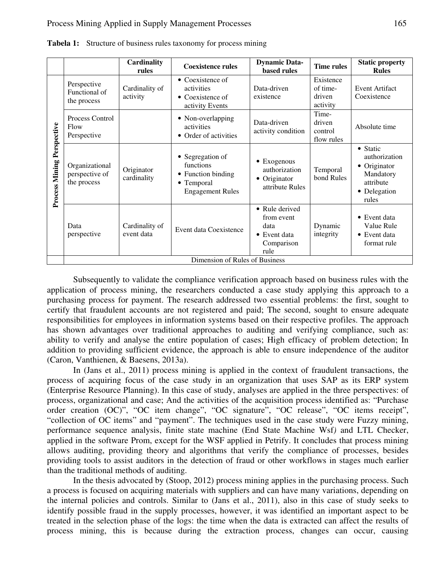|                            |                                                 | <b>Cardinality</b><br>rules  | <b>Coexistence rules</b>                                                                     | <b>Dynamic Data-</b><br><b>based rules</b>                                 | <b>Time rules</b>                           | <b>Static property</b><br><b>Rules</b>                                                       |  |
|----------------------------|-------------------------------------------------|------------------------------|----------------------------------------------------------------------------------------------|----------------------------------------------------------------------------|---------------------------------------------|----------------------------------------------------------------------------------------------|--|
| Process Mining Perspective | Perspective<br>Functional of<br>the process     | Cardinality of<br>activity   | • Coexistence of<br>activities<br>$\bullet$ Coexistence of<br>activity Events                | Data-driven<br>existence                                                   | Existence<br>of time-<br>driven<br>activity | Event Artifact<br>Coexistence                                                                |  |
|                            | Process Control<br>Flow<br>Perspective          |                              | • Non-overlapping<br>activities<br>• Order of activities                                     | Data-driven<br>activity condition                                          | Time-<br>driven<br>control<br>flow rules    | Absolute time                                                                                |  |
|                            | Organizational<br>perspective of<br>the process | Originator<br>cardinality    | • Segregation of<br>functions<br>• Function binding<br>• Temporal<br><b>Engagement Rules</b> | $\bullet$ Exogenous<br>authorization<br>• Originator<br>attribute Rules    | Temporal<br>bond Rules                      | • Static<br>authorization<br>• Originator<br>Mandatory<br>attribute<br>• Delegation<br>rules |  |
|                            | Data<br>perspective                             | Cardinality of<br>event data | Event data Coexistence                                                                       | • Rule derived<br>from event<br>data<br>• Event data<br>Comparison<br>rule | Dynamic<br>integrity                        | $\bullet$ Event data<br>Value Rule<br>• Event data<br>format rule                            |  |
|                            | Dimension of Rules of Business                  |                              |                                                                                              |                                                                            |                                             |                                                                                              |  |

**Tabela 1:** Structure of business rules taxonomy for process mining

Subsequently to validate the compliance verification approach based on business rules with the application of process mining, the researchers conducted a case study applying this approach to a purchasing process for payment. The research addressed two essential problems: the first, sought to certify that fraudulent accounts are not registered and paid; The second, sought to ensure adequate responsibilities for employees in information systems based on their respective profiles. The approach has shown advantages over traditional approaches to auditing and verifying compliance, such as: ability to verify and analyse the entire population of cases; High efficacy of problem detection; In addition to providing sufficient evidence, the approach is able to ensure independence of the auditor (Caron, Vanthienen, & Baesens, 2013a).

In (Jans et al., 2011) process mining is applied in the context of fraudulent transactions, the process of acquiring focus of the case study in an organization that uses SAP as its ERP system (Enterprise Resource Planning). In this case of study, analyses are applied in the three perspectives: of process, organizational and case; And the activities of the acquisition process identified as: "Purchase order creation (OC)", "OC item change", "OC signature", "OC release", "OC items receipt", "collection of OC items" and "payment". The techniques used in the case study were Fuzzy mining, performance sequence analysis, finite state machine (End State Machine Wsf*)* and LTL Checker, applied in the software Prom, except for the WSF applied in Petrify. It concludes that process mining allows auditing, providing theory and algorithms that verify the compliance of processes, besides providing tools to assist auditors in the detection of fraud or other workflows in stages much earlier than the traditional methods of auditing.

In the thesis advocated by (Stoop, 2012) process mining applies in the purchasing process. Such a process is focused on acquiring materials with suppliers and can have many variations, depending on the internal policies and controls. Similar to (Jans et al., 2011), also in this case of study seeks to identify possible fraud in the supply processes, however, it was identified an important aspect to be treated in the selection phase of the logs: the time when the data is extracted can affect the results of process mining, this is because during the extraction process, changes can occur, causing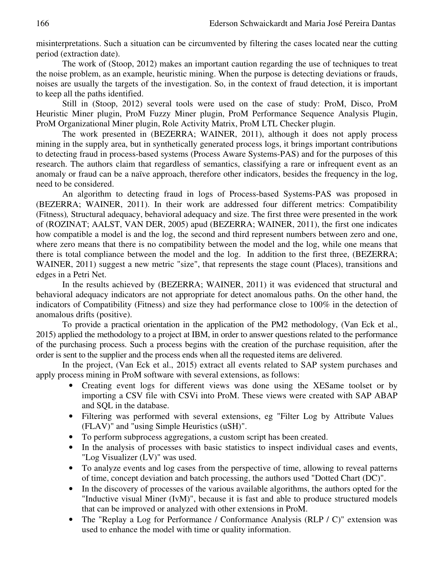misinterpretations. Such a situation can be circumvented by filtering the cases located near the cutting period (extraction date).

The work of (Stoop, 2012) makes an important caution regarding the use of techniques to treat the noise problem, as an example, heuristic mining. When the purpose is detecting deviations or frauds, noises are usually the targets of the investigation. So, in the context of fraud detection, it is important to keep all the paths identified.

Still in (Stoop, 2012) several tools were used on the case of study: ProM, Disco, ProM Heuristic Miner plugin, ProM Fuzzy Miner plugin, ProM Performance Sequence Analysis Plugin, ProM Organizational Miner plugin, Role Activity Matrix, ProM LTL Checker plugin.

The work presented in (BEZERRA; WAINER, 2011), although it does not apply process mining in the supply area, but in synthetically generated process logs, it brings important contributions to detecting fraud in process-based systems (Process Aware Systems-PAS) and for the purposes of this research. The authors claim that regardless of semantics, classifying a rare or infrequent event as an anomaly or fraud can be a naïve approach, therefore other indicators, besides the frequency in the log, need to be considered.

An algorithm to detecting fraud in logs of Process-based Systems-PAS was proposed in (BEZERRA; WAINER, 2011). In their work are addressed four different metrics: Compatibility (Fitness)*,* Structural adequacy, behavioral adequacy and size. The first three were presented in the work of (ROZINAT; AALST, VAN DER, 2005) apud (BEZERRA; WAINER, 2011), the first one indicates how compatible a model is and the log, the second and third represent numbers between zero and one, where zero means that there is no compatibility between the model and the log, while one means that there is total compliance between the model and the log. In addition to the first three, (BEZERRA; WAINER, 2011) suggest a new metric "size", that represents the stage count (Places), transitions and edges in a Petri Net.

In the results achieved by (BEZERRA; WAINER, 2011) it was evidenced that structural and behavioral adequacy indicators are not appropriate for detect anomalous paths. On the other hand, the indicators of Compatibility (Fitness) and size they had performance close to 100% in the detection of anomalous drifts (positive).

To provide a practical orientation in the application of the PM2 methodology, (Van Eck et al., 2015) applied the methodology to a project at IBM, in order to answer questions related to the performance of the purchasing process. Such a process begins with the creation of the purchase requisition, after the order is sent to the supplier and the process ends when all the requested items are delivered.

In the project, (Van Eck et al., 2015) extract all events related to SAP system purchases and apply process mining in ProM software with several extensions, as follows:

- Creating event logs for different views was done using the XESame toolset or by importing a CSV file with CSVi into ProM. These views were created with SAP ABAP and SQL in the database.
- Filtering was performed with several extensions, eg "Filter Log by Attribute Values (FLAV)" and "using Simple Heuristics (uSH)".
- To perform subprocess aggregations, a custom script has been created.
- In the analysis of processes with basic statistics to inspect individual cases and events, "Log Visualizer (LV)" was used.
- To analyze events and log cases from the perspective of time, allowing to reveal patterns of time, concept deviation and batch processing, the authors used "Dotted Chart (DC)".
- In the discovery of processes of the various available algorithms, the authors opted for the "Inductive visual Miner (IvM)", because it is fast and able to produce structured models that can be improved or analyzed with other extensions in ProM.
- The "Replay a Log for Performance / Conformance Analysis (RLP / C)" extension was used to enhance the model with time or quality information.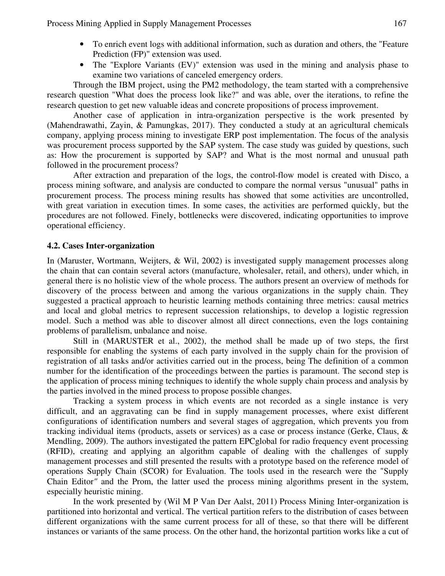Process Mining Applied in Supply Management Processes 167

- To enrich event logs with additional information, such as duration and others, the "Feature Prediction (FP)" extension was used.
- The "Explore Variants (EV)" extension was used in the mining and analysis phase to examine two variations of canceled emergency orders.

Through the IBM project, using the PM2 methodology, the team started with a comprehensive research question "What does the process look like?" and was able, over the iterations, to refine the research question to get new valuable ideas and concrete propositions of process improvement.

Another case of application in intra-organization perspective is the work presented by (Mahendrawathi, Zayin, & Pamungkas, 2017). They conducted a study at an agricultural chemicals company, applying process mining to investigate ERP post implementation. The focus of the analysis was procurement process supported by the SAP system. The case study was guided by questions, such as: How the procurement is supported by SAP? and What is the most normal and unusual path followed in the procurement process?

After extraction and preparation of the logs, the control-flow model is created with Disco, a process mining software, and analysis are conducted to compare the normal versus "unusual" paths in procurement process. The process mining results has showed that some activities are uncontrolled, with great variation in execution times. In some cases, the activities are performed quickly, but the procedures are not followed. Finely, bottlenecks were discovered, indicating opportunities to improve operational efficiency.

### **4.2. Cases Inter-organization**

In (Maruster, Wortmann, Weijters, & Wil, 2002) is investigated supply management processes along the chain that can contain several actors (manufacture, wholesaler, retail, and others), under which, in general there is no holistic view of the whole process. The authors present an overview of methods for discovery of the process between and among the various organizations in the supply chain. They suggested a practical approach to heuristic learning methods containing three metrics: causal metrics and local and global metrics to represent succession relationships, to develop a logistic regression model. Such a method was able to discover almost all direct connections, even the logs containing problems of parallelism, unbalance and noise.

Still in (MARUSTER et al., 2002), the method shall be made up of two steps, the first responsible for enabling the systems of each party involved in the supply chain for the provision of registration of all tasks and/or activities carried out in the process, being The definition of a common number for the identification of the proceedings between the parties is paramount. The second step is the application of process mining techniques to identify the whole supply chain process and analysis by the parties involved in the mined process to propose possible changes.

Tracking a system process in which events are not recorded as a single instance is very difficult, and an aggravating can be find in supply management processes, where exist different configurations of identification numbers and several stages of aggregation, which prevents you from tracking individual items (products, assets or services) as a case or process instance (Gerke, Claus, & Mendling, 2009). The authors investigated the pattern EPCglobal for radio frequency event processing (RFID), creating and applying an algorithm capable of dealing with the challenges of supply management processes and still presented the results with a prototype based on the reference model of operations Supply Chain (SCOR) for Evaluation. The tools used in the research were the "Supply Chain Editor*"* and the Prom, the latter used the process mining algorithms present in the system, especially heuristic mining.

In the work presented by (Wil M P Van Der Aalst, 2011) Process Mining Inter-organization is partitioned into horizontal and vertical. The vertical partition refers to the distribution of cases between different organizations with the same current process for all of these, so that there will be different instances or variants of the same process. On the other hand, the horizontal partition works like a cut of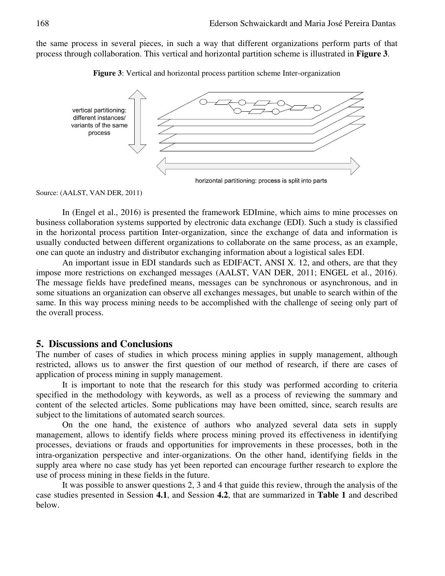the same process in several pieces, in such a way that different organizations perform parts of that process through collaboration. This vertical and horizontal partition scheme is illustrated in **Figure 3**.





Source: (AALST, VAN DER, 2011)

In (Engel et al., 2016) is presented the framework EDImine, which aims to mine processes on business collaboration systems supported by electronic data exchange (EDI). Such a study is classified in the horizontal process partition Inter-organization, since the exchange of data and information is usually conducted between different organizations to collaborate on the same process, as an example, one can quote an industry and distributor exchanging information about a logistical sales EDI.

An important issue in EDI standards such as EDIFACT, ANSI X. 12, and others, are that they impose more restrictions on exchanged messages (AALST, VAN DER, 2011; ENGEL et al., 2016). The message fields have predefined means, messages can be synchronous or asynchronous, and in some situations an organization can observe all exchanges messages, but unable to search within of the same. In this way process mining needs to be accomplished with the challenge of seeing only part of the overall process.

## **5. Discussions and Conclusions**

The number of cases of studies in which process mining applies in supply management, although restricted, allows us to answer the first question of our method of research, if there are cases of application of process mining in supply management.

It is important to note that the research for this study was performed according to criteria specified in the methodology with keywords, as well as a process of reviewing the summary and content of the selected articles. Some publications may have been omitted, since, search results are subject to the limitations of automated search sources.

On the one hand, the existence of authors who analyzed several data sets in supply management, allows to identify fields where process mining proved its effectiveness in identifying processes, deviations or frauds and opportunities for improvements in these processes, both in the intra-organization perspective and inter-organizations. On the other hand, identifying fields in the supply area where no case study has yet been reported can encourage further research to explore the use of process mining in these fields in the future.

It was possible to answer questions 2, 3 and 4 that guide this review, through the analysis of the case studies presented in Session **4.1**, and Session **4.2**, that are summarized in **Table 1** and described below.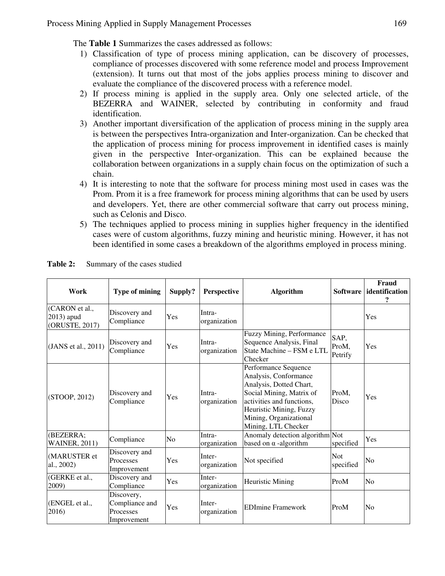The **Table 1** Summarizes the cases addressed as follows:

- 1) Classification of type of process mining application, can be discovery of processes, compliance of processes discovered with some reference model and process Improvement (extension). It turns out that most of the jobs applies process mining to discover and evaluate the compliance of the discovered process with a reference model.
- 2) If process mining is applied in the supply area. Only one selected article, of the BEZERRA and WAINER, selected by contributing in conformity and fraud identification.
- 3) Another important diversification of the application of process mining in the supply area is between the perspectives Intra-organization and Inter-organization. Can be checked that the application of process mining for process improvement in identified cases is mainly given in the perspective Inter-organization. This can be explained because the collaboration between organizations in a supply chain focus on the optimization of such a chain.
- 4) It is interesting to note that the software for process mining most used in cases was the Prom. Prom it is a free framework for process mining algorithms that can be used by users and developers. Yet, there are other commercial software that carry out process mining, such as Celonis and Disco.
- 5) The techniques applied to process mining in supplies higher frequency in the identified cases were of custom algorithms, fuzzy mining and heuristic mining. However, it has not been identified in some cases a breakdown of the algorithms employed in process mining.

| Work                                           | <b>Type of mining</b>                                    | Supply? | Perspective            | <b>Algorithm</b>                                                                                                                                                                                              | <b>Software</b>          | Fraud<br>identification<br>? |
|------------------------------------------------|----------------------------------------------------------|---------|------------------------|---------------------------------------------------------------------------------------------------------------------------------------------------------------------------------------------------------------|--------------------------|------------------------------|
| (CARON et al.,<br>2013) apud<br>(ORUSTE, 2017) | Discovery and<br>Compliance                              | Yes     | Intra-<br>organization |                                                                                                                                                                                                               |                          | Yes                          |
| (JANS et al., 2011)                            | Discovery and<br>Compliance                              | Yes     | Intra-<br>organization | Fuzzy Mining, Performance<br>Sequence Analysis, Final<br>State Machine - FSM e LTL<br>Checker                                                                                                                 | SAP,<br>ProM,<br>Petrify | Yes                          |
| (STOOP, 2012)                                  | Discovery and<br>Compliance                              | Yes     | Intra-<br>organization | Performance Sequence<br>Analysis, Conformance<br>Analysis, Dotted Chart,<br>Social Mining, Matrix of<br>activities and functions,<br>Heuristic Mining, Fuzzy<br>Mining, Organizational<br>Mining, LTL Checker |                          | Yes                          |
| (BEZERRA;<br><b>WAINER, 2011)</b>              | Compliance                                               | No      | Intra-<br>organization | Anomaly detection algorithm Not<br>based on $\alpha$ -algorithm                                                                                                                                               | specified                | Yes                          |
| (MARUSTER et<br>al., 2002)                     | Discovery and<br>Processes<br>Improvement                | Yes     | Inter-<br>organization | Not specified                                                                                                                                                                                                 | <b>Not</b><br>specified  | No                           |
| (GERKE et al.,<br>2009)                        | Discovery and<br>Compliance                              | Yes     | Inter-<br>organization | <b>Heuristic Mining</b>                                                                                                                                                                                       | ProM                     | N <sub>0</sub>               |
| (ENGEL et al.,<br>2016)                        | Discovery,<br>Compliance and<br>Processes<br>Improvement | Yes     | Inter-<br>organization | <b>EDImine Framework</b><br>ProM                                                                                                                                                                              |                          | No                           |

Table 2: Summary of the cases studied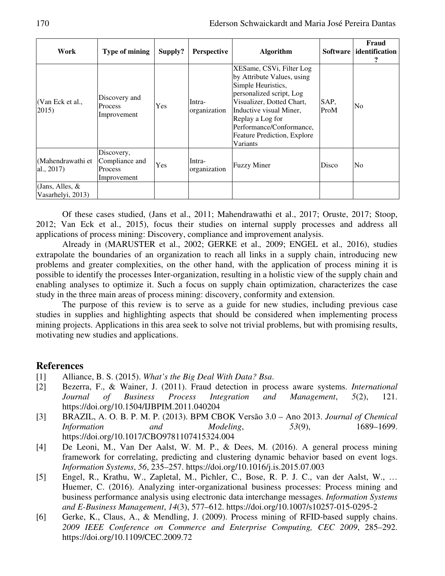| Work                                    | Type of mining                                                | Supply?    | <b>Perspective</b>     | <b>Algorithm</b>                                                                                                                                                                                                                                                   |              | Fraud<br>Software   identification |
|-----------------------------------------|---------------------------------------------------------------|------------|------------------------|--------------------------------------------------------------------------------------------------------------------------------------------------------------------------------------------------------------------------------------------------------------------|--------------|------------------------------------|
| (Van Eck et al.,<br>2015)               | Discovery and<br><b>Process</b><br>Improvement                | <b>Yes</b> | Intra-<br>organization | XESame, CSVi, Filter Log<br>by Attribute Values, using<br>Simple Heuristics,<br>personalized script, Log<br>Visualizer, Dotted Chart,<br>Inductive visual Miner,<br>Replay a Log for<br>Performance/Conformance,<br><b>Feature Prediction, Explore</b><br>Variants | SAP.<br>ProM | No                                 |
| (Mahendrawathi et<br>al., $2017$ )      | Discovery,<br>Compliance and<br><b>Process</b><br>Improvement | Yes        | Intra-<br>organization | <b>Fuzzy Miner</b>                                                                                                                                                                                                                                                 | Disco        | No                                 |
| (Jans, Alles, $\&$<br>Vasarhelyi, 2013) |                                                               |            |                        |                                                                                                                                                                                                                                                                    |              |                                    |

Of these cases studied, (Jans et al., 2011; Mahendrawathi et al., 2017; Oruste, 2017; Stoop, 2012; Van Eck et al., 2015), focus their studies on internal supply processes and address all applications of process mining: Discovery, compliance and improvement analysis.

Already in (MARUSTER et al., 2002; GERKE et al.*,* 2009; ENGEL et al.*,* 2016), studies extrapolate the boundaries of an organization to reach all links in a supply chain, introducing new problems and greater complexities, on the other hand, with the application of process mining it is possible to identify the processes Inter-organization, resulting in a holistic view of the supply chain and enabling analyses to optimize it. Such a focus on supply chain optimization, characterizes the case study in the three main areas of process mining: discovery, conformity and extension.

The purpose of this review is to serve as a guide for new studies, including previous case studies in supplies and highlighting aspects that should be considered when implementing process mining projects. Applications in this area seek to solve not trivial problems, but with promising results, motivating new studies and applications.

## **References**

- [1] Alliance, B. S. (2015). *What's the Big Deal With Data? Bsa*.
- [2] Bezerra, F., & Wainer, J. (2011). Fraud detection in process aware systems. *International Journal of Business Process Integration and Management*, *5*(2), 121. https://doi.org/10.1504/IJBPIM.2011.040204
- [3] BRAZIL, A. O. B. P. M. P. (2013). BPM CBOK Versão 3.0 Ano 2013. *Journal of Chemical Information and Modeling*, *53*(9), 1689–1699. https://doi.org/10.1017/CBO9781107415324.004
- [4] De Leoni, M., Van Der Aalst, W. M. P., & Dees, M. (2016). A general process mining framework for correlating, predicting and clustering dynamic behavior based on event logs. *Information Systems*, *56*, 235–257. https://doi.org/10.1016/j.is.2015.07.003
- [5] Engel, R., Krathu, W., Zapletal, M., Pichler, C., Bose, R. P. J. C., van der Aalst, W., … Huemer, C. (2016). Analyzing inter-organizational business processes: Process mining and business performance analysis using electronic data interchange messages. *Information Systems and E-Business Management*, *14*(3), 577–612. https://doi.org/10.1007/s10257-015-0295-2
- [6] Gerke, K., Claus, A., & Mendling, J. (2009). Process mining of RFID-based supply chains. *2009 IEEE Conference on Commerce and Enterprise Computing, CEC 2009*, 285–292. https://doi.org/10.1109/CEC.2009.72